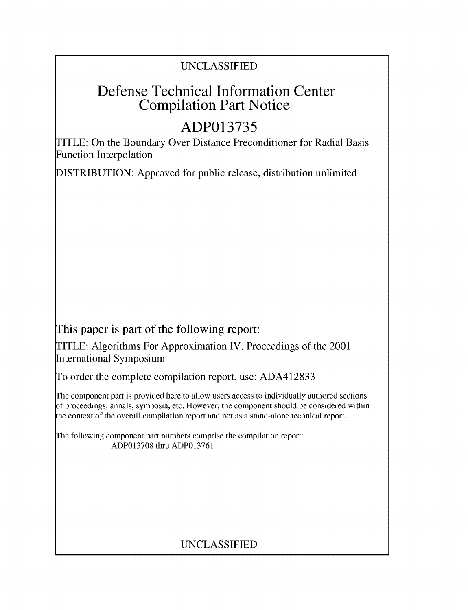# UNCLASSIFIED

# Defense Technical Information Center Compilation Part Notice

# **ADP013735**

TITLE: On the Boundary Over Distance Preconditioner for Radial Basis Function Interpolation

DISTRIBUTION: Approved for public release, distribution unlimited

This paper is part of the following report:

TITLE: Algorithms For Approximation IV. Proceedings of the 2001 International Symposium

To order the complete compilation report, use: ADA412833

The component part is provided here to allow users access to individually authored sections f proceedings, annals, symposia, etc. However, the component should be considered within the context of the overall compilation report and not as a stand-alone technical report.

The following component part numbers comprise the compilation report: ADP013708 thru ADP013761

# UNCLASSIFIED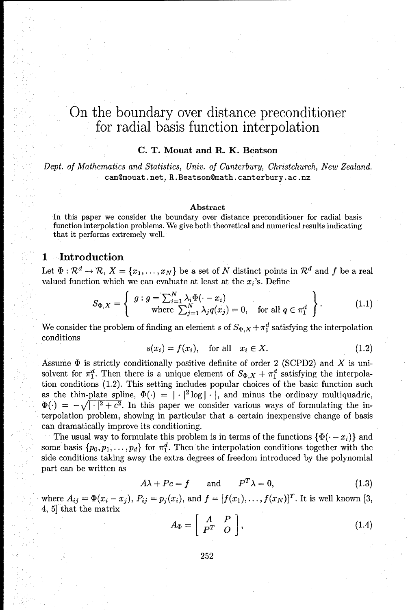# On the boundary over distance preconditioner for radial basis function interpolation

### **C.** T. Mouat and R. K. Beatson

*Dept. of Mathematics and Statistics, Univ. of Canterbury, Christchurch, New Zealand.* cam@mouat.net, R. Beatson@math.canterbury.ac.nz

#### Abstract

In this paper we consider the boundary over distance preconditioner for radial basis function interpolation problems. We give both theoretical and numerical results indicating that it performs extremely well.

# **1** Introduction

Let  $\Phi: \mathcal{R}^d \to \mathcal{R}, X = \{x_1, \ldots, x_N\}$  be a set of N distinct points in  $\mathcal{R}^d$  and f be a real valued function which we can evaluate at least at the  $x_i$ 's. Define

$$
S_{\Phi,X} = \left\{ \begin{array}{c} g: g = \sum_{i=1}^{N} \lambda_i \Phi(\cdot - x_i) \\ \text{where } \sum_{j=1}^{N} \lambda_j q(x_j) = 0, \quad \text{for all } q \in \pi_1^d \end{array} \right\}.
$$
 (1.1)

We consider the problem of finding an element s of  $S_{\Phi,X} + \pi_1^d$  satisfying the interpolation conditions

$$
s(x_i) = f(x_i), \quad \text{for all} \quad x_i \in X. \tag{1.2}
$$

Assume  $\Phi$  is strictly conditionally positive definite of order 2 (SCPD2) and X is unisolvent for  $\pi_1^d$ . Then there is a unique element of  $S_{\Phi,X} + \pi_1^d$  satisfying the interpolation conditions (1.2). This setting includes popular choices of the basic function such as the thin-plate spline,  $\Phi(\cdot) = \left[ \frac{1}{2} \log | \cdot \cdot \right]$ , and minus the ordinary multiquadric,  $\Phi(\cdot) = -\sqrt{|\cdot|^2 + c^2}$ . In this paper we consider various ways of formulating the interpolation problem, showing in particular that a certain inexpensive change of basis can dramatically improve its conditioning.

The usual way to formulate this problem is in terms of the functions  $\{\Phi(\cdot - x_i)\}$  and some basis  $\{p_0, p_1, \ldots, p_d\}$  for  $\pi_1^d$ . Then the interpolation conditions together with the side conditions taking away the extra degrees of freedom introduced by the polynomial part can be written as

$$
A\lambda + Pc = f \qquad \text{and} \qquad P^T \lambda = 0,\tag{1.3}
$$

where  $A_{ij} = \Phi(x_i - x_j)$ ,  $P_{ij} = p_j(x_i)$ , and  $f = [f(x_1),...,f(x_N)]^T$ . It is well known [3, 4, 5] that the matrix

$$
A_{\Phi} = \left[ \begin{array}{cc} A & P \\ P^T & O \end{array} \right], \tag{1.4}
$$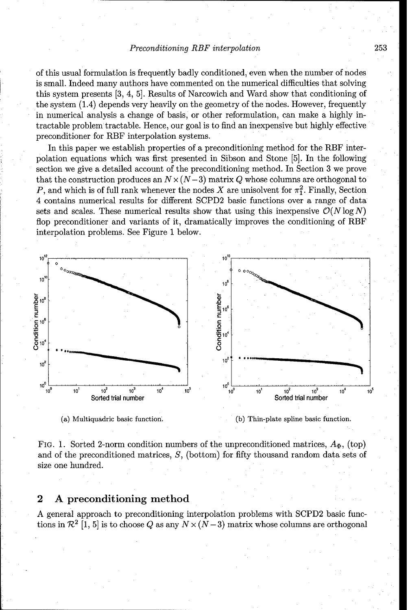#### Preconditioning RBF interpolation 253

of this usual formulation is frequently badly conditioned, even when the number of nodes is small. Indeed many authors have commented on the numerical difficulties that solving this system presents [3, 4, **5].** Results of Narcowich and Ward show that conditioning of the system (1.4) depends very heavily on the geometry of the nodes. However, frequently in numerical analysis a change of basis, or other reformulation, can make a highly intractable problem tractable. Hence, our goal is to find an inexpensive but highly effective preconditioner for RBF interpolation systems.

In this paper we establish properties of a preconditioning method for the RBF interpolation equations which was first presented in Sibson and Stone [5]. In the following section we give a detailed account of the preconditioning method. In Section 3 we prove that the construction produces an  $N \times (N-3)$  matrix Q whose columns are orthogonal to P, and which is of full rank whenever the nodes X are unisolvent for  $\pi_1^2$ . Finally, Section 4 contains numerical results for different SCPD2 basic functions over a range of data sets and scales. These numerical results show that using this inexpensive  $\mathcal{O}(N \log N)$ flop preconditioner and variants of it, dramatically improves the conditioning of RBF interpolation problems. See Figure **1** below.





FIG. 1. Sorted 2-norm condition numbers of the unpreconditioned matrices,  $A_{\Phi}$ , (top) and of the preconditioned matrices, S, (bottom) for fifty thousand random data sets of size one hundred.

## 2 **A** preconditioning method

A general approach to preconditioning interpolation problems with SCPD2 basic functions in  $\mathcal{R}^2$  [1, 5] is to choose Q as any  $N \times (N-3)$  matrix whose columns are orthogonal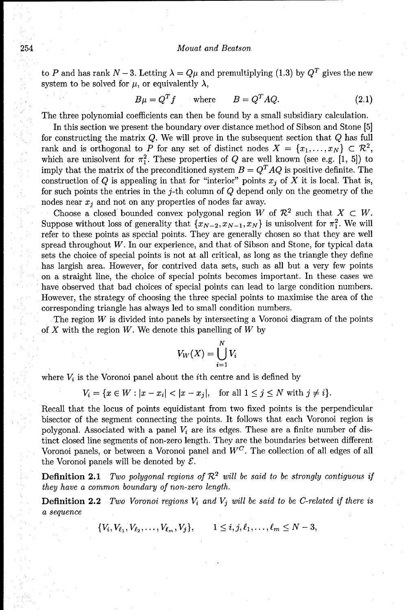#### 254 *Mouat and Beatson*

to P and has rank  $N-3$ . Letting  $\lambda = Q\mu$  and premultiplying (1.3) by  $Q^T$  gives the new system to be solved for  $\mu$ , or equivalently  $\lambda$ ,

$$
B\mu = Q^T f \qquad \text{where} \qquad B = Q^T A Q. \tag{2.1}
$$

The three polynomial coefficients can then be found by a small subsidiary calculation.

In this section we present the boundary over distance method of Sibson and Stone [5] for constructing the matrix  $Q$ . We will prove in the subsequent section that  $Q$  has full rank and is orthogonal to P for any set of distinct nodes  $X = \{x_1, \ldots, x_N\} \subset \mathbb{R}^2$ , which are unisolvent for  $\pi_1^2$ . These properties of Q are well known (see e.g. [1, 5]) to imply that the matrix of the preconditioned system  $B = Q<sup>T</sup> A Q$  is positive definite. The construction of Q is appealing in that for "interior" points  $x_i$  of X it is local. That is, for such points the entries in the  $j$ -th column of  $Q$  depend only on the geometry of the nodes near  $x_i$  and not on any properties of nodes far away.

Choose a closed bounded convex polygonal region  $W$  of  $\mathcal{R}^2$  such that  $X \subset W$ . Suppose without loss of generality that  $\{x_{N-2}, x_{N-1}, x_N\}$  is unisolvent for  $\pi_1^2$ . We will refer to these points as special points. They are generally chosen so that they are well spread throughout  $W$ . In our experience, and that of Sibson and Stone, for typical data sets the choice of special points is not at all critical, as long as the triangle they define has largish area. However, for contrived data sets, such as all but a very few points on a straight line, the choice of special points becomes important. In these cases we have observed that bad choices of special points can lead to large condition numbers. However, the strategy of choosing the three special points to maximise the area of the corresponding triangle has always led to small condition numbers.

The region W is divided into panels by intersecting a Voronoi diagram of the points of  $X$  with the region  $W$ . We denote this panelling of  $W$  by

$$
V_W(X) = \bigcup_{i=1}^N V_i
$$

where  $V_i$  is the Voronoi panel about the *i*<sup>th</sup> centre and is defined by

$$
V_i = \{ x \in W : |x - x_i| < |x - x_j|, \quad \text{for all } 1 \le j \le N \text{ with } j \ne i \}.
$$

Recall that the locus of points equidistant from two fixed points is the perpendicular bisector of the segment connecting the points. It follows that each Voronoi region is polygonal. Associated with a panel  $V_i$  are its edges. These are a finite number of distinct closed line segments of non-zero length. They are the boundaries between different Voronoi panels, or between a Voronoi panel and  $W^C$ . The collection of all edges of all the Voronoi panels will be denoted by  $\mathcal{E}$ .

**Definition 2.1** *Two polygonal regions of*  $\mathcal{R}^2$  *will be said to be strongly contiguous if* they have a common boundary of non-zero length.

Definition 2.2 *Two Voronoi regions* Vi and *Vj will be said to* be C-related *if there is* a *sequence*

 $\{V_i, V_{\ell_1}, V_{\ell_2}, \ldots, V_{\ell_m}, V_i\}, \qquad 1 \leq i, j, \ell_1, \ldots, \ell_m \leq N-3,$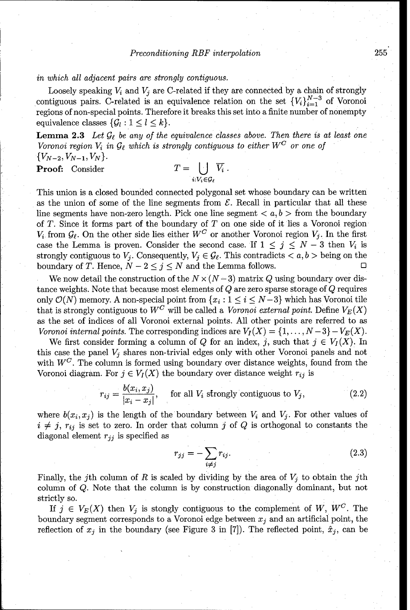#### in which all adjacent *pairs* are strongly contiguous.

Loosely speaking  $V_i$  and  $V_j$  are C-related if they are connected by a chain of strongly contiguous pairs. C-related is an equivalence relation on the set  $\{V_i\}_{i=1}^{N-3}$  of Voronoi regions of non-special points. Therefore it breaks this set into a finite number of nonempty equivalence classes  $\{\mathcal{G}_l : 1 \leq l \leq k\}.$ 

**Lemma 2.3** Let  $\mathcal{G}_{\ell}$  be any of the equivalence classes above. Then there is at least one Voronoi region  $V_i$  in  $\mathcal{G}_\ell$  which is strongly contiguous to either  $W^C$  or one of  ${V_{N-2}, V_{N-1}, V_N}.$ 

Proof: Consider

$$
T=\bigcup_{i: V_i\in \mathcal{G}_\ell} \overline{V_i} \ .
$$

This union is a closed bounded connected polygonal set whose boundary can be written as the union of some of the line segments from  $\mathcal{E}$ . Recall in particular that all these line segments have non-zero length. Pick one line segment  $\langle a, b \rangle$  from the boundary of T. Since it forms part of the boundary of T on one side of it lies a Voronoi region  $V_i$  from  $\mathcal{G}_{\ell}$ . On the other side lies either  $W^C$  or another Voronoi region  $V_j$ . In the first case the Lemma is proven. Consider the second case. If  $1 \leq j \leq N-3$  then  $V_i$  is strongly contiguous to  $V_j$ . Consequently,  $V_j \in \mathcal{G}_{\ell}$ . This contradicts  $\langle a, b \rangle$  being on the boundary of T. Hence,  $N - 2 \le j \le N$  and the Lemma follows.

We now detail the construction of the  $N \times (N-3)$  matrix Q using boundary over distance weights. Note that because most elements of Q are zero sparse storage of Q requires only  $\mathcal{O}(N)$  memory. A non-special point from  $\{x_i : 1 \le i \le N-3\}$  which has Voronoi tile that is strongly contiguous to  $W^C$  will be called a Voronoi external point. Define  $V_E(X)$ as the set of indices of all Voronoi external points. All other points are referred to as Voronoi internal points. The corresponding indices are  $V_I(X) = \{1, \ldots, N-3\} - V_E(X)$ .

We first consider forming a column of Q for an index, j, such that  $j \in V_I(X)$ . In this case the panel **Vj** shares non-trivial edges only with other Voronoi panels and not with  $W^C$ . The column is formed using boundary over distance weights, found from the Voronoi diagram. For  $j \in V_I(X)$  the boundary over distance weight  $r_{ij}$  is

$$
r_{ij} = \frac{b(x_i, x_j)}{|x_i - x_j|}, \quad \text{for all } V_i \text{ strongly contiguous to } V_j,
$$
 (2.2)

where  $b(x_i, x_j)$  is the length of the boundary between  $V_i$  and  $V_j$ . For other values of  $i \neq j$ ,  $r_{ij}$  is set to zero. In order that column j of Q is orthogonal to constants the diagonal element  $r_{jj}$  is specified as

$$
r_{jj} = -\sum_{i \neq j} r_{ij}.\tag{2.3}
$$

Finally, the j<sup>th</sup> column of R is scaled by dividing by the area of  $V_j$  to obtain the j<sup>th</sup> column of Q. Note that the column is by construction diagonally dominant, but not strictly so.

If  $j \in V_E(X)$  then  $V_j$  is stongly contiguous to the complement of W, W<sup>C</sup>. The boundary segment corresponds to a Voronoi edge between  $x_j$  and an artificial point, the reflection of  $x_j$  in the boundary (see Figure 3 in [7]). The reflected point,  $\hat{x}_j$ , can be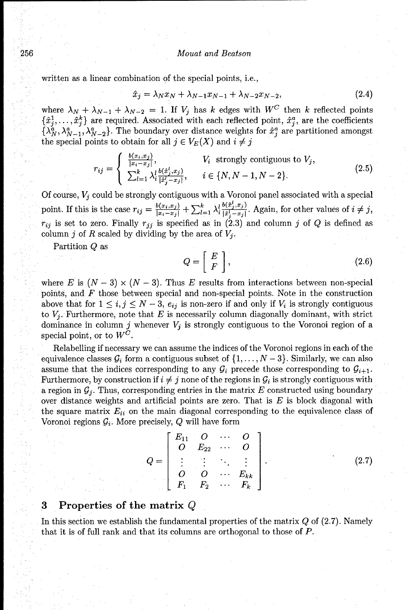#### 256 Mouat *and Beatson*

written as a linear combination of the special points, i.e.,

$$
\hat{x}_j = \lambda_N x_N + \lambda_{N-1} x_{N-1} + \lambda_{N-2} x_{N-2}, \tag{2.4}
$$

where  $\lambda_N + \lambda_{N-1} + \lambda_{N-2} = 1$ . If  $V_j$  has k edges with  $W^C$  then k reflected points  $\{\hat{x}_i^1, \ldots, \hat{x}_i^k\}$  are required. Associated with each reflected point,  $\hat{x}_i^a$ , are the coefficients  $\{\lambda_N^a, \lambda_{N-1}^a, \lambda_{N-2}^a\}$ . The boundary over distance weights for  $\hat{x}_i^a$  are partitioned amongst the special points to obtain for all  $j \in V_E(X)$  and  $i \neq j$ 

$$
r_{ij} = \begin{cases} \frac{b(x_i, x_j)}{|x_i - x_j|}, & V_i \text{ strongly contiguous to } V_j, \\ \sum_{l=1}^k \lambda_i^l \frac{b(x_j^l, x_j)}{|x_j^l - x_j|}, & i \in \{N, N-1, N-2\}. \end{cases} \tag{2.5}
$$

Of course,  $V_j$  could be strongly contiguous with a Voronoi panel associated with a special point. If this is the case  $r_{ij} = \frac{b(x_i, x_j)}{|x_i - x_j|} + \sum_{l=1}^k \lambda_i^l \frac{b(x_j^l, x_j)}{|x_j^l - x_j|}$ . Again, for other values of  $i \neq j$ ,  $r_{ij}$  is set to zero. Finally  $r_{ji}$  is specified as in (2.3) and column j of Q is defined as column j of R scaled by dividing by the area of  $V_j$ .

Partition **Q** as

$$
Q = \left[ \begin{array}{c} E \\ F \end{array} \right],\tag{2.6}
$$

where E is  $(N-3) \times (N-3)$ . Thus E results from interactions between non-special points, and F those between special and non-special points. Note in the construction above that for  $1 \leq i, j \leq N-3$ ,  $e_{ij}$  is non-zero if and only if  $V_i$  is strongly contiguous to  $V_j$ . Furthermore, note that  $E$  is necessarily column diagonally dominant, with strict dominance in column  $j$  whenever  $V_j$  is strongly contiguous to the Voronoi region of a special point, or to  $W^C$ .

Relabelling if necessary we can assume the indices of the Voronoi regions in each of the equivalence classes  $\mathcal{G}_i$  form a contiguous subset of  $\{1,\ldots,N-3\}$ . Similarly, we can also assume that the indices corresponding to any  $\mathcal{G}_i$  precede those corresponding to  $\mathcal{G}_{i+1}$ . Furthermore, by construction if  $i \neq j$  none of the regions in  $\mathcal{G}_i$  is strongly contiguous with a region in  $\mathcal{G}_j$ . Thus, corresponding entries in the matrix  $E$  constructed using boundary over distance weights and artificial points are zero. That is  $E$  is block diagonal with the square matrix  $E_{ii}$  on the main diagonal corresponding to the equivalence class of Voronoi regions  $\mathcal{G}_i$ . More precisely,  $Q$  will have form

| $Q = \left[ \begin{array}{cccc} E_{11} & O & \cdots & O \ O & E_{22} & \cdots & O \ \vdots & \vdots & \ddots & \vdots \ O & O & \cdots & E_{kk} \ F_1 & F_2 & \cdots & F_k \end{array} \right] \ .$ |  |  |       |
|-----------------------------------------------------------------------------------------------------------------------------------------------------------------------------------------------------|--|--|-------|
|                                                                                                                                                                                                     |  |  | (2.7) |
|                                                                                                                                                                                                     |  |  |       |
|                                                                                                                                                                                                     |  |  |       |

# **3** Properties of the matrix Q

In this section we establish the fundamental properties of the matrix Q of (2.7). Namely that it is of full rank and that its columns are orthogonal to those of P.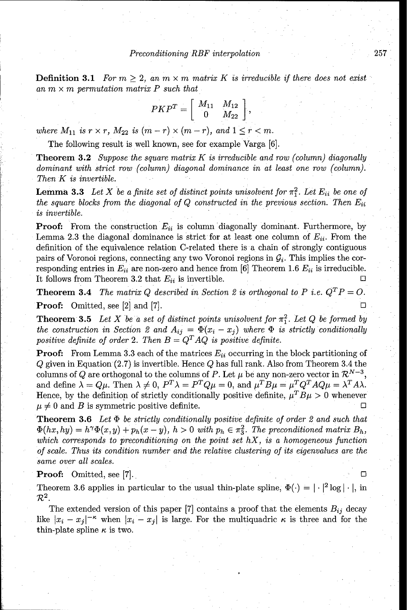**Definition 3.1** For  $m \geq 2$ , an  $m \times m$  matrix K is irreducible if there does not exist an m *x* m permutation matrix *P such that*

$$
PKP^T=\left[\begin{array}{cc}M_{11}&M_{12}\\0&M_{22}\end{array}\right],
$$

where  $M_{11}$  is  $r \times r$ ,  $M_{22}$  is  $(m-r) \times (m-r)$ , and  $1 \leq r < m$ .

The following result is well known, see for example Varga **[6].**

Theorem **3.2** *Suppose the square* matrix *K is* irreducible and row (column) diagonally dominant *with strict row* (column) diagonal dominance in at *least* one row (column). *Then K is* invertible.

**Lemma 3.3** Let X be a finite set of distinct points unisolvent for  $\pi_1^2$ . Let  $E_{ii}$  be one of *the square blocks from the diagonal of Q constructed in the previous section. Then*  $E_{ii}$ *is* invertible.

**Proof:** From the construction  $E_{ii}$  is column diagonally dominant. Furthermore, by Lemma 2.3 the diagonal dominance is strict for at least one column of  $E_{ii}$ . From the definition of the equivalence relation C-related there is a chain of strongly contiguous pairs of Voronoi regions, connecting any two Voronoi regions in  $\mathcal{G}_i$ . This implies the corresponding entries in  $E_{ii}$  are non-zero and hence from [6] Theorem 1.6  $E_{ii}$  is irreducible. It follows from Theorem 3.2 that  $E_{ii}$  is invertible.

**Theorem 3.4** *The matrix Q described in Section 2 is orthogonal to P i.e.*  $Q^T P = O$ . **Proof:** Omitted, see  $[2]$  and  $[7]$ .

**Theorem 3.5** Let X be a set of distinct points unisolvent for  $\pi_1^2$ . Let Q be formed by the construction in Section 2 and  $A_{ij} = \Phi(x_i - x_j)$  where  $\Phi$  is strictly conditionally *positive definite of order 2. Then*  $B = Q<sup>T</sup> A Q$  *is positive definite.* 

**Proof:** From Lemma 3.3 each of the matrices  $E_{ii}$  occurring in the block partitioning of  $Q$  given in Equation (2.7) is invertible. Hence  $Q$  has full rank. Also from Theorem 3.4 the columns of Q are orthogonal to the columns of P. Let  $\mu$  be any non-zero vector in  $\mathcal{R}^{N-3}$ , and define  $\lambda = Q\mu$ . Then  $\lambda \neq 0$ ,  $P^T \lambda = P^T Q\mu = 0$ , and  $\mu^T B\mu = \mu^T Q^T A Q \mu = \lambda^T A \lambda$ . Hence, by the definition of strictly conditionally positive definite,  $\mu^T B \mu > 0$  whenever  $\mu \neq 0$  and B is symmetric positive definite.

Theorem **3.6** Let *D be strictly* conditionally *positive definite of order* 2 and such *that*  $\Phi(hx, hy) = h^{\gamma}\Phi(x, y) + p_h(x - y), h > 0$  with  $p_h \in \pi_3^2$ . The preconditioned matrix  $B_h$ , *which corresponds to* preconditioning on the *point set hX, is a* homogeneous function *of scale. Thus its* condition number and the relative clustering *of its* eigenvalues are *the* same over *all scales.*

Proof: Omitted, see [7].

Theorem 3.6 applies in particular to the usual thin-plate spline,  $\Phi(\cdot) = |\cdot|^2 \log |\cdot|$ , in  $\mathcal{R}^2.$ 

The extended version of this paper  $[7]$  contains a proof that the elements  $B_{ij}$  decay like  $|x_i - x_j|^{-\kappa}$  when  $|x_i - x_j|$  is large. For the multiquadric  $\kappa$  is three and for the thin-plate spline  $\kappa$  is two.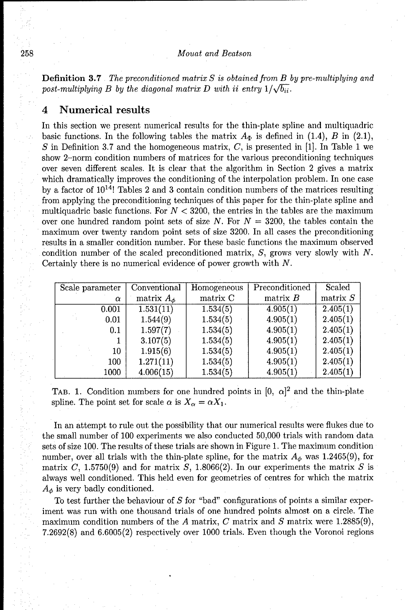#### 258 *Mouat and Beatson*

Definition **3.7** *The* preconditioned matrix *S is obtained from B by pre-multiplying and* post-multiplying B by the diagonal matrix D with ii entry  $1/\sqrt{b_{ii}}$ .

## 4 Numerical results

In this section we present numerical results for the thin-plate spline and multiquadric basic functions. In the following tables the matrix  $A_{\Phi}$  is defined in (1.4), B in (2.1), *S* in Definition 3.7 and the homogeneous matrix, *C,* is presented in [1]. In Table 1 we show 2-norm condition numbers of matrices for the various preconditioning techniques over seven different scales. It is clear that the algorithm in Section 2 gives a matrix which dramatically improves the conditioning of the interpolation problem. In one case by a factor of  $10^{14}$ ! Tables 2 and 3 contain condition numbers of the matrices resulting from applying the preconditioning techniques of this paper for the thin-plate spline and multiquadric basic functions. For  $N < 3200$ , the entries in the tables are the maximum over one hundred random point sets of size N. For  $N = 3200$ , the tables contain the maximum over twenty random point sets of size 3200. In all cases the preconditioning results in a smaller condition number. For these basic functions the maximum observed condition number of the scaled preconditioned matrix, **S,** grows very slowly with *N.* Certainly there is no numerical evidence of power growth with N.

| Scale parameter | Conventional      | Homogeneous | Preconditioned | Scaled     |
|-----------------|-------------------|-------------|----------------|------------|
| $\alpha$        | matrix $A_{\phi}$ | matrix C    | matrix B       | matrix $S$ |
| 0.001           | 1.531(11)         | 1.534(5)    | 4.905(1)       | 2.405(1)   |
| 0.01            | 1.544(9)          | 1.534(5)    | 4.905(1)       | 2.405(1)   |
| 0.1             | 1.597(7)          | 1.534(5)    | 4.905(1)       | 2.405(1)   |
|                 | 3.107(5)          | 1.534(5)    | 4.905(1)       | 2.405(1)   |
| 10              | 1.915(6)          | 1.534(5)    | 4.905(1)       | 2.405(1)   |
| 100             | 1.271(11)         | 1.534(5)    | 4.905(1)       | 2.405(1)   |
| 1000            | 4.006(15)         | 1.534(5)    | 4.905(1)       | 2.405(1)   |

TAB. 1. Condition numbers for one hundred points in  $[0, \alpha]^2$  and the thin-plate spline. The point set for scale  $\alpha$  is  $X_{\alpha} = \alpha X_1$ .

In an attempt to rule out the possibility that our numerical results were flukes due to the small number of 100 experiments we also conducted 50,000 trials with random data sets of size 100. The results of these trials are shown in Figure 1. The maximum condition number, over all trials with the thin-plate spline, for the matrix  $A_{\phi}$  was 1.2465(9), for matrix **C,** 1.5750(9) and for matrix **S,** 1.8066(2). In our experiments the matrix S is always well conditioned. This held even for geometries of centres for which the matrix  $A_{\phi}$  is very badly conditioned.

To test further the behaviour of  $S$  for "bad" configurations of points a similar experiment was run with one thousand trials of one hundred points almost on a circle. The maximum condition numbers of the A matrix, C matrix and S matrix were 1.2885(9), 7.2692(8) and 6.6005(2) respectively over 1000 trials. Even though the Voronoi regions